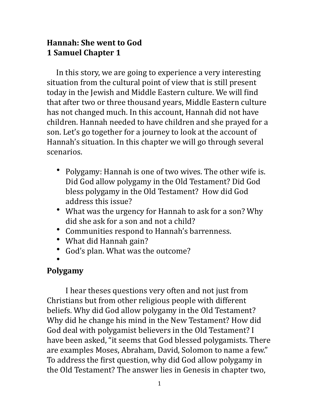### **Hannah: She went to God 1 Samuel Chapter 1**

In this story, we are going to experience a very interesting situation from the cultural point of view that is still present today in the Jewish and Middle Eastern culture. We will find that after two or three thousand years, Middle Eastern culture has not changed much. In this account, Hannah did not have children. Hannah needed to have children and she prayed for a son. Let's go together for a journey to look at the account of Hannah's situation. In this chapter we will go through several scenarios. 

- Polygamy: Hannah is one of two wives. The other wife is. Did God allow polygamy in the Old Testament? Did God bless polygamy in the Old Testament? How did God address this issue?
- What was the urgency for Hannah to ask for a son? Why did she ask for a son and not a child?
- Communities respond to Hannah's barrenness.
- What did Hannah gain?
- God's plan. What was the outcome?
- •

### **Polygamy**

I hear theses questions very often and not just from Christians but from other religious people with different beliefs. Why did God allow polygamy in the Old Testament? Why did he change his mind in the New Testament? How did God deal with polygamist believers in the Old Testament? I have been asked, "it seems that God blessed polygamists. There are examples Moses, Abraham, David, Solomon to name a few." To address the first question, why did God allow polygamy in the Old Testament? The answer lies in Genesis in chapter two,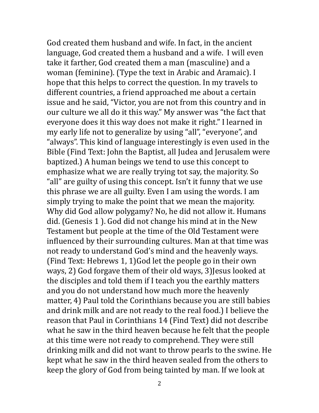God created them husband and wife. In fact, in the ancient language, God created them a husband and a wife. I will even take it farther, God created them a man (masculine) and a woman (feminine). (Type the text in Arabic and Aramaic). I hope that this helps to correct the question. In my travels to different countries, a friend approached me about a certain issue and he said, "Victor, you are not from this country and in our culture we all do it this way." My answer was "the fact that everyone does it this way does not make it right." I learned in my early life not to generalize by using "all", "everyone", and "always". This kind of language interestingly is even used in the Bible (Find Text: John the Baptist, all Judea and Jerusalem were baptized.) A human beings we tend to use this concept to emphasize what we are really trying tot say, the majority. So "all" are guilty of using this concept. Isn't it funny that we use this phrase we are all guilty. Even I am using the words. I am simply trying to make the point that we mean the majority. Why did God allow polygamy? No, he did not allow it. Humans did. (Genesis 1). God did not change his mind at in the New Testament but people at the time of the Old Testament were influenced by their surrounding cultures. Man at that time was not ready to understand God's mind and the heavenly ways. (Find Text: Hebrews 1, 1) God let the people go in their own ways, 2) God forgave them of their old ways, 3) Jesus looked at the disciples and told them if I teach you the earthly matters and you do not understand how much more the heavenly matter, 4) Paul told the Corinthians because you are still babies and drink milk and are not ready to the real food.) I believe the reason that Paul in Corinthians 14 (Find Text) did not describe what he saw in the third heaven because he felt that the people at this time were not ready to comprehend. They were still drinking milk and did not want to throw pearls to the swine. He kept what he saw in the third heaven sealed from the others to keep the glory of God from being tainted by man. If we look at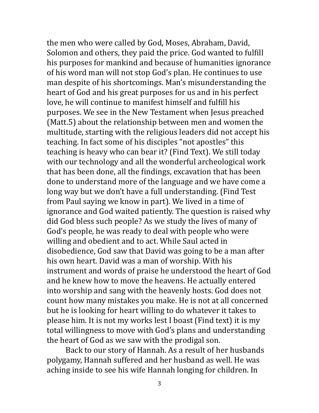the men who were called by God, Moses, Abraham, David, Solomon and others, they paid the price. God wanted to fulfill his purposes for mankind and because of humanities ignorance of his word man will not stop God's plan. He continues to use man despite of his shortcomings. Man's misunderstanding the heart of God and his great purposes for us and in his perfect love, he will continue to manifest himself and fulfill his purposes. We see in the New Testament when Jesus preached (Matt.5) about the relationship between men and women the multitude, starting with the religious leaders did not accept his teaching. In fact some of his disciples "not apostles" this teaching is heavy who can bear it? (Find Text). We still today with our technology and all the wonderful archeological work that has been done, all the findings, excavation that has been done to understand more of the language and we have come a long way but we don't have a full understanding. (Find Test from Paul saying we know in part). We lived in a time of ignorance and God waited patiently. The question is raised why did God bless such people? As we study the lives of many of God's people, he was ready to deal with people who were willing and obedient and to act. While Saul acted in disobedience, God saw that David was going to be a man after his own heart. David was a man of worship. With his instrument and words of praise he understood the heart of God and he knew how to move the heavens. He actually entered into worship and sang with the heavenly hosts. God does not count how many mistakes you make. He is not at all concerned but he is looking for heart willing to do whatever it takes to please him. It is not my works lest I boast (Find text) it is my total willingness to move with God's plans and understanding the heart of God as we saw with the prodigal son.

Back to our story of Hannah. As a result of her husbands polygamy, Hannah suffered and her husband as well. He was aching inside to see his wife Hannah longing for children. In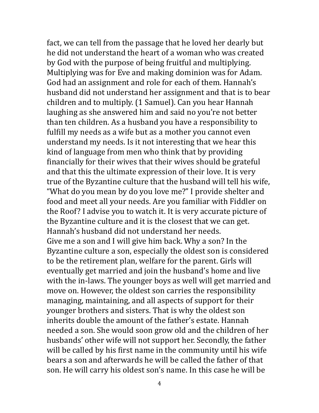fact, we can tell from the passage that he loved her dearly but he did not understand the heart of a woman who was created by God with the purpose of being fruitful and multiplying. Multiplying was for Eve and making dominion was for Adam. God had an assignment and role for each of them. Hannah's husband did not understand her assignment and that is to bear children and to multiply. (1 Samuel). Can you hear Hannah laughing as she answered him and said no you're not better than ten children. As a husband you have a responsibility to fulfill my needs as a wife but as a mother you cannot even understand my needs. Is it not interesting that we hear this kind of language from men who think that by providing financially for their wives that their wives should be grateful and that this the ultimate expression of their love. It is very true of the Byzantine culture that the husband will tell his wife, "What do you mean by do you love me?" I provide shelter and food and meet all your needs. Are you familiar with Fiddler on the Roof? I advise you to watch it. It is very accurate picture of the Byzantine culture and it is the closest that we can get. Hannah's husband did not understand her needs. Give me a son and I will give him back. Why a son? In the Byzantine culture a son, especially the oldest son is considered to be the retirement plan, welfare for the parent. Girls will eventually get married and join the husband's home and live with the in-laws. The younger boys as well will get married and move on. However, the oldest son carries the responsibility managing, maintaining, and all aspects of support for their younger brothers and sisters. That is why the oldest son inherits double the amount of the father's estate. Hannah needed a son. She would soon grow old and the children of her husbands' other wife will not support her. Secondly, the father will be called by his first name in the community until his wife bears a son and afterwards he will be called the father of that son. He will carry his oldest son's name. In this case he will be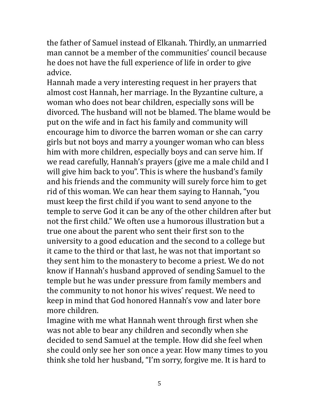the father of Samuel instead of Elkanah. Thirdly, an unmarried man cannot be a member of the communities' council because he does not have the full experience of life in order to give advice. 

Hannah made a very interesting request in her prayers that almost cost Hannah, her marriage. In the Byzantine culture, a woman who does not bear children, especially sons will be divorced. The husband will not be blamed. The blame would be put on the wife and in fact his family and community will encourage him to divorce the barren woman or she can carry girls but not boys and marry a younger woman who can bless him with more children, especially boys and can serve him. If we read carefully, Hannah's prayers (give me a male child and I will give him back to you". This is where the husband's family and his friends and the community will surely force him to get rid of this woman. We can hear them saying to Hannah, "you must keep the first child if you want to send anyone to the temple to serve God it can be any of the other children after but not the first child." We often use a humorous illustration but a true one about the parent who sent their first son to the university to a good education and the second to a college but it came to the third or that last, he was not that important so they sent him to the monastery to become a priest. We do not know if Hannah's husband approved of sending Samuel to the temple but he was under pressure from family members and the community to not honor his wives' request. We need to keep in mind that God honored Hannah's vow and later bore more children.

Imagine with me what Hannah went through first when she was not able to bear any children and secondly when she decided to send Samuel at the temple. How did she feel when she could only see her son once a year. How many times to you think she told her husband, "I'm sorry, forgive me. It is hard to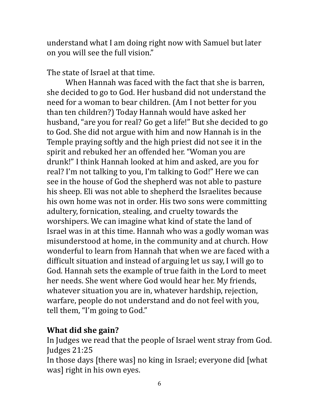understand what I am doing right now with Samuel but later on you will see the full vision."

The state of Israel at that time.

When Hannah was faced with the fact that she is barren, she decided to go to God. Her husband did not understand the need for a woman to bear children. (Am I not better for you than ten children?) Today Hannah would have asked her husband, "are you for real? Go get a life!" But she decided to go to God. She did not argue with him and now Hannah is in the Temple praying softly and the high priest did not see it in the spirit and rebuked her an offended her. "Woman you are drunk!" I think Hannah looked at him and asked, are you for real? I'm not talking to you, I'm talking to God!" Here we can see in the house of God the shepherd was not able to pasture his sheep. Eli was not able to shepherd the Israelites because his own home was not in order. His two sons were committing adultery, fornication, stealing, and cruelty towards the worshipers. We can imagine what kind of state the land of Israel was in at this time. Hannah who was a godly woman was misunderstood at home, in the community and at church. How wonderful to learn from Hannah that when we are faced with a difficult situation and instead of arguing let us say, I will go to God. Hannah sets the example of true faith in the Lord to meet her needs. She went where God would hear her. My friends, whatever situation you are in, whatever hardship, rejection, warfare, people do not understand and do not feel with you, tell them, "I'm going to God."

### **What did she gain?**

In Judges we read that the people of Israel went stray from God. Judges 21:25 

In those days [there was] no king in Israel; everyone did [what] was] right in his own eyes.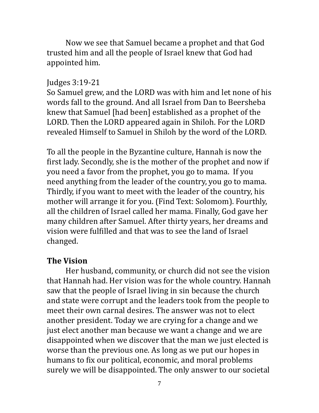Now we see that Samuel became a prophet and that God trusted him and all the people of Israel knew that God had appointed him.

#### Judges 3:19-21

So Samuel grew, and the LORD was with him and let none of his words fall to the ground. And all Israel from Dan to Beersheba knew that Samuel [had been] established as a prophet of the LORD. Then the LORD appeared again in Shiloh. For the LORD revealed Himself to Samuel in Shiloh by the word of the LORD.

To all the people in the Byzantine culture, Hannah is now the first lady. Secondly, she is the mother of the prophet and now if you need a favor from the prophet, you go to mama. If you need anything from the leader of the country, you go to mama. Thirdly, if you want to meet with the leader of the country, his mother will arrange it for you. (Find Text: Solomom). Fourthly, all the children of Israel called her mama. Finally, God gave her many children after Samuel. After thirty years, her dreams and vision were fulfilled and that was to see the land of Israel changed. 

#### **The Vision**

Her husband, community, or church did not see the vision that Hannah had. Her vision was for the whole country. Hannah saw that the people of Israel living in sin because the church and state were corrupt and the leaders took from the people to meet their own carnal desires. The answer was not to elect another president. Today we are crying for a change and we just elect another man because we want a change and we are disappointed when we discover that the man we just elected is worse than the previous one. As long as we put our hopes in humans to fix our political, economic, and moral problems surely we will be disappointed. The only answer to our societal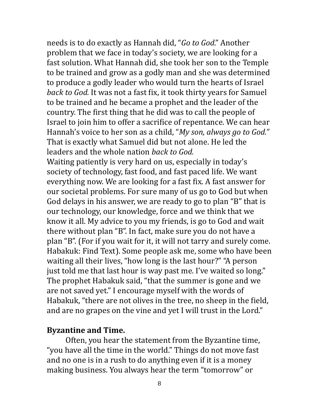needs is to do exactly as Hannah did, "*Go to God*." Another problem that we face in today's society, we are looking for a fast solution. What Hannah did, she took her son to the Temple to be trained and grow as a godly man and she was determined to produce a godly leader who would turn the hearts of Israel *back to God.* It was not a fast fix, it took thirty years for Samuel to be trained and he became a prophet and the leader of the country. The first thing that he did was to call the people of Israel to join him to offer a sacrifice of repentance. We can hear Hannah's voice to her son as a child, "*My son, always go to God."* That is exactly what Samuel did but not alone. He led the leaders and the whole nation *back to God.* 

Waiting patiently is very hard on us, especially in today's society of technology, fast food, and fast paced life. We want everything now. We are looking for a fast fix. A fast answer for our societal problems. For sure many of us go to God but when God delays in his answer, we are ready to go to plan "B" that is our technology, our knowledge, force and we think that we know it all. My advice to you my friends, is go to God and wait there without plan "B". In fact, make sure you do not have a plan "B". (For if you wait for it, it will not tarry and surely come. Habakuk: Find Text). Some people ask me, some who have been waiting all their lives, "how long is the last hour?" "A person just told me that last hour is way past me. I've waited so long." The prophet Habakuk said, "that the summer is gone and we are not saved yet." I encourage myself with the words of Habakuk, "there are not olives in the tree, no sheep in the field, and are no grapes on the vine and yet I will trust in the Lord."

#### **Byzantine and Time.**

Often, you hear the statement from the Byzantine time, "you have all the time in the world." Things do not move fast and no one is in a rush to do anything even if it is a money making business. You always hear the term "tomorrow" or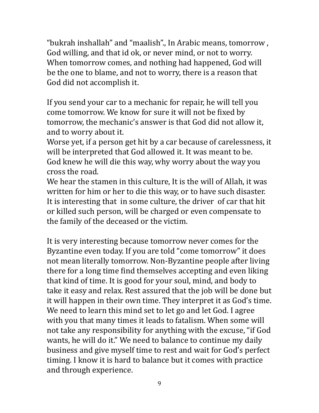"bukrah inshallah" and "maalish"., In Arabic means, tomorrow, God willing, and that id ok, or never mind, or not to worry. When tomorrow comes, and nothing had happened, God will be the one to blame, and not to worry, there is a reason that God did not accomplish it.

If you send your car to a mechanic for repair, he will tell you come tomorrow. We know for sure it will not be fixed by tomorrow, the mechanic's answer is that God did not allow it, and to worry about it.

Worse yet, if a person get hit by a car because of carelessness, it will be interpreted that God allowed it. It was meant to be. God knew he will die this way, why worry about the way you cross the road.

We hear the stamen in this culture, It is the will of Allah, it was written for him or her to die this way, or to have such disaster. It is interesting that in some culture, the driver of car that hit or killed such person, will be charged or even compensate to the family of the deceased or the victim.

It is very interesting because tomorrow never comes for the Byzantine even today. If you are told "come tomorrow" it does not mean literally tomorrow. Non-Byzantine people after living there for a long time find themselves accepting and even liking that kind of time. It is good for your soul, mind, and body to take it easy and relax. Rest assured that the job will be done but it will happen in their own time. They interpret it as God's time. We need to learn this mind set to let go and let God. I agree with you that many times it leads to fatalism. When some will not take any responsibility for anything with the excuse, "if God wants, he will do it." We need to balance to continue my daily business and give myself time to rest and wait for God's perfect timing. I know it is hard to balance but it comes with practice and through experience.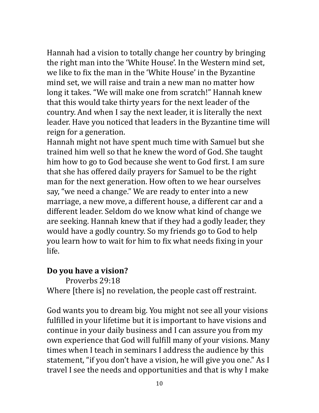Hannah had a vision to totally change her country by bringing the right man into the 'White House'. In the Western mind set, we like to fix the man in the 'White House' in the Byzantine mind set, we will raise and train a new man no matter how long it takes. "We will make one from scratch!" Hannah knew that this would take thirty years for the next leader of the country. And when I say the next leader, it is literally the next leader. Have you noticed that leaders in the Byzantine time will reign for a generation.

Hannah might not have spent much time with Samuel but she trained him well so that he knew the word of God. She taught him how to go to God because she went to God first. I am sure that she has offered daily prayers for Samuel to be the right man for the next generation. How often to we hear ourselves say, "we need a change." We are ready to enter into a new marriage, a new move, a different house, a different car and a different leader. Seldom do we know what kind of change we are seeking. Hannah knew that if they had a godly leader, they would have a godly country. So my friends go to God to help you learn how to wait for him to fix what needs fixing in your life. 

### Do you have a vision?

Proverbs 29:18

Where [there is] no revelation, the people cast off restraint.

God wants you to dream big. You might not see all your visions fulfilled in your lifetime but it is important to have visions and continue in your daily business and I can assure you from my own experience that God will fulfill many of your visions. Many times when I teach in seminars I address the audience by this statement, "if you don't have a vision, he will give you one." As I travel I see the needs and opportunities and that is why I make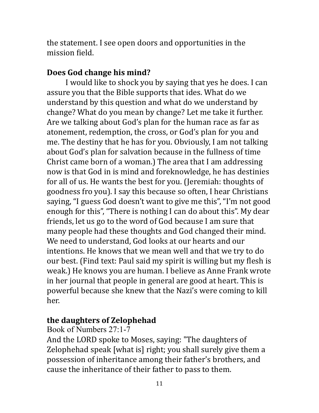the statement. I see open doors and opportunities in the mission field.

## Does God change his mind?

I would like to shock you by saying that yes he does. I can assure you that the Bible supports that ides. What do we understand by this question and what do we understand by change? What do you mean by change? Let me take it further. Are we talking about God's plan for the human race as far as atonement, redemption, the cross, or God's plan for you and me. The destiny that he has for you. Obviously, I am not talking about God's plan for salvation because in the fullness of time Christ came born of a woman.) The area that I am addressing now is that God in is mind and foreknowledge, he has destinies for all of us. He wants the best for you. (Jeremiah: thoughts of goodness fro you). I say this because so often, I hear Christians saying, "I guess God doesn't want to give me this", "I'm not good enough for this", "There is nothing I can do about this". My dear friends, let us go to the word of God because I am sure that many people had these thoughts and God changed their mind. We need to understand, God looks at our hearts and our intentions. He knows that we mean well and that we try to do our best. (Find text: Paul said my spirit is willing but my flesh is weak.) He knows you are human. I believe as Anne Frank wrote in her journal that people in general are good at heart. This is powerful because she knew that the Nazi's were coming to kill her. 

## the daughters of **Zelophehad**

### Book of Numbers 27:1-7

And the LORD spoke to Moses, saying: "The daughters of Zelophehad speak [what is] right; you shall surely give them a possession of inheritance among their father's brothers, and cause the inheritance of their father to pass to them.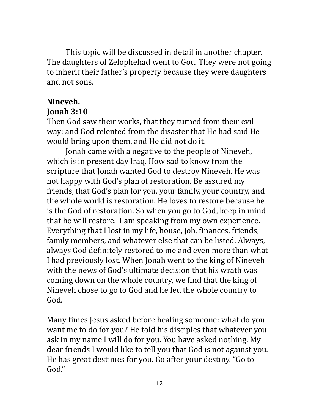This topic will be discussed in detail in another chapter. The daughters of Zelophehad went to God. They were not going to inherit their father's property because they were daughters and not sons.

# Nineveh.

## **Jonah 3:10**

Then God saw their works, that they turned from their evil way; and God relented from the disaster that He had said He would bring upon them, and He did not do it.

Jonah came with a negative to the people of Nineveh, which is in present day Iraq. How sad to know from the scripture that Jonah wanted God to destroy Nineveh. He was not happy with God's plan of restoration. Be assured my friends, that God's plan for you, your family, your country, and the whole world is restoration. He loves to restore because he is the God of restoration. So when you go to God, keep in mind that he will restore. I am speaking from my own experience. Everything that I lost in my life, house, job, finances, friends, family members, and whatever else that can be listed. Always, always God definitely restored to me and even more than what I had previously lost. When Jonah went to the king of Nineveh with the news of God's ultimate decision that his wrath was coming down on the whole country, we find that the king of Nineveh chose to go to God and he led the whole country to God. 

Many times Jesus asked before healing someone: what do you want me to do for you? He told his disciples that whatever you ask in my name I will do for you. You have asked nothing. My dear friends I would like to tell you that God is not against you. He has great destinies for you. Go after your destiny. "Go to God."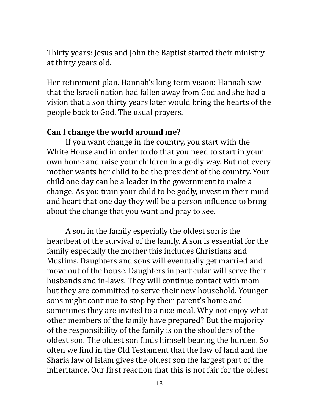Thirty years: Jesus and John the Baptist started their ministry at thirty years old.

Her retirement plan. Hannah's long term vision: Hannah saw that the Israeli nation had fallen away from God and she had a vision that a son thirty years later would bring the hearts of the people back to God. The usual prayers.

### Can I change the world around me?

If you want change in the country, you start with the White House and in order to do that you need to start in your own home and raise your children in a godly way. But not every mother wants her child to be the president of the country. Your child one day can be a leader in the government to make a change. As you train your child to be godly, invest in their mind and heart that one day they will be a person influence to bring about the change that you want and pray to see.

A son in the family especially the oldest son is the heartbeat of the survival of the family. A son is essential for the family especially the mother this includes Christians and Muslims. Daughters and sons will eventually get married and move out of the house. Daughters in particular will serve their husbands and in-laws. They will continue contact with mom but they are committed to serve their new household. Younger sons might continue to stop by their parent's home and sometimes they are invited to a nice meal. Why not enjoy what other members of the family have prepared? But the majority of the responsibility of the family is on the shoulders of the oldest son. The oldest son finds himself bearing the burden. So often we find in the Old Testament that the law of land and the Sharia law of Islam gives the oldest son the largest part of the inheritance. Our first reaction that this is not fair for the oldest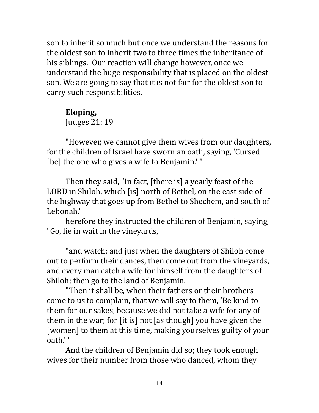son to inherit so much but once we understand the reasons for the oldest son to inherit two to three times the inheritance of his siblings. Our reaction will change however, once we understand the huge responsibility that is placed on the oldest son. We are going to say that it is not fair for the oldest son to carry such responsibilities.

### Eloping,

Judges 21: 19

"However, we cannot give them wives from our daughters, for the children of Israel have sworn an oath, saying, 'Cursed [be] the one who gives a wife to Benjamin.'"

Then they said, "In fact, [there is] a yearly feast of the LORD in Shiloh, which [is] north of Bethel, on the east side of the highway that goes up from Bethel to Shechem, and south of Lebonah." 

herefore they instructed the children of Benjamin, saying, "Go, lie in wait in the vineyards,

" and watch; and just when the daughters of Shiloh come out to perform their dances, then come out from the vineyards, and every man catch a wife for himself from the daughters of Shiloh; then go to the land of Benjamin.

"Then it shall be, when their fathers or their brothers come to us to complain, that we will say to them, 'Be kind to them for our sakes, because we did not take a wife for any of them in the war; for [it is] not [as though] you have given the [women] to them at this time, making yourselves guilty of your oath.'"

And the children of Benjamin did so; they took enough wives for their number from those who danced, whom they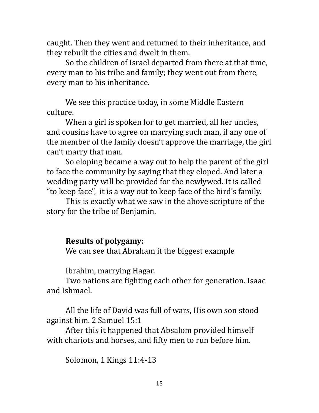caught. Then they went and returned to their inheritance, and they rebuilt the cities and dwelt in them.

So the children of Israel departed from there at that time, every man to his tribe and family; they went out from there, every man to his inheritance.

We see this practice today, in some Middle Eastern culture. 

When a girl is spoken for to get married, all her uncles, and cousins have to agree on marrying such man, if any one of the member of the family doesn't approve the marriage, the girl can't marry that man.

So eloping became a way out to help the parent of the girl to face the community by saying that they eloped. And later a wedding party will be provided for the newlywed. It is called " to keep face", it is a way out to keep face of the bird's family.

This is exactly what we saw in the above scripture of the story for the tribe of Benjamin.

### **Results of polygamy:**

We can see that Abraham it the biggest example

Ibrahim, marrying Hagar.

Two nations are fighting each other for generation. Isaac and Ishmael. 

All the life of David was full of wars, His own son stood against him. 2 Samuel 15:1

After this it happened that Absalom provided himself with chariots and horses, and fifty men to run before him.

Solomon, 1 Kings 11:4-13